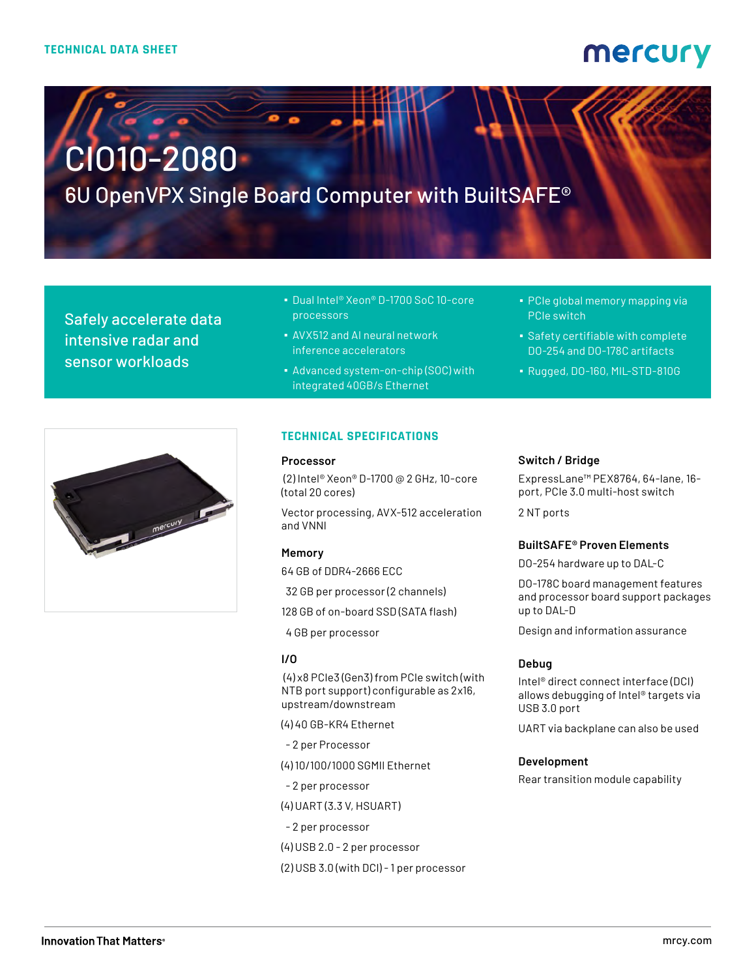# mercury

# CIO10-2080

6U OpenVPX Single Board Computer with BuiltSAFE®

Safely accelerate data intensive radar and sensor workloads

- Dual Intel® Xeon® D-1700 SoC 10-core processors
- AVX512 and AI neural network inference accelerators
- Advanced system-on-chip (SOC) with integrated 40GB/s Ethernet
- PCIe global memory mapping via PCIe switch
- **Safety certifiable with complete** DO-254 and DO-178C artifacts
- Rugged, DO-160, MIL-STD-810G



#### **TECHNICAL SPECIFICATIONS**

#### **Processor**

 (2) Intel® Xeon® D-1700 @ 2 GHz, 10-core (total 20 cores)

Vector processing, AVX-512 acceleration and VNNI

#### **Memory**

64 GB of DDR4-2666 ECC

- 32 GB per processor (2 channels)
- 128 GB of on-board SSD (SATA flash)
- 4 GB per processor

#### **I/O**

 (4) x8 PCIe3 (Gen3) from PCIe switch (with NTB port support) configurable as 2x16, upstream/downstream

(4) 40 GB-KR4 Ethernet

- 2 per Processor
- (4) 10/100/1000 SGMII Ethernet
- 2 per processor
- (4) UART (3.3 V, HSUART)
- 2 per processor
- (4) USB 2.0 2 per processor
- (2) USB 3.0 (with DCI) 1 per processor

#### **Switch / Bridge**

ExpressLane™ PEX8764, 64-lane, 16 port, PCIe 3.0 multi-host switch

2 NT ports

#### **BuiltSAFE® Proven Elements**

DO-254 hardware up to DAL-C

DO-178C board management features and processor board support packages up to DAL-D

Design and information assurance

#### **Debug**

Intel® direct connect interface (DCI) allows debugging of Intel® targets via USB 3.0 port

UART via backplane can also be used

#### **Development**

Rear transition module capability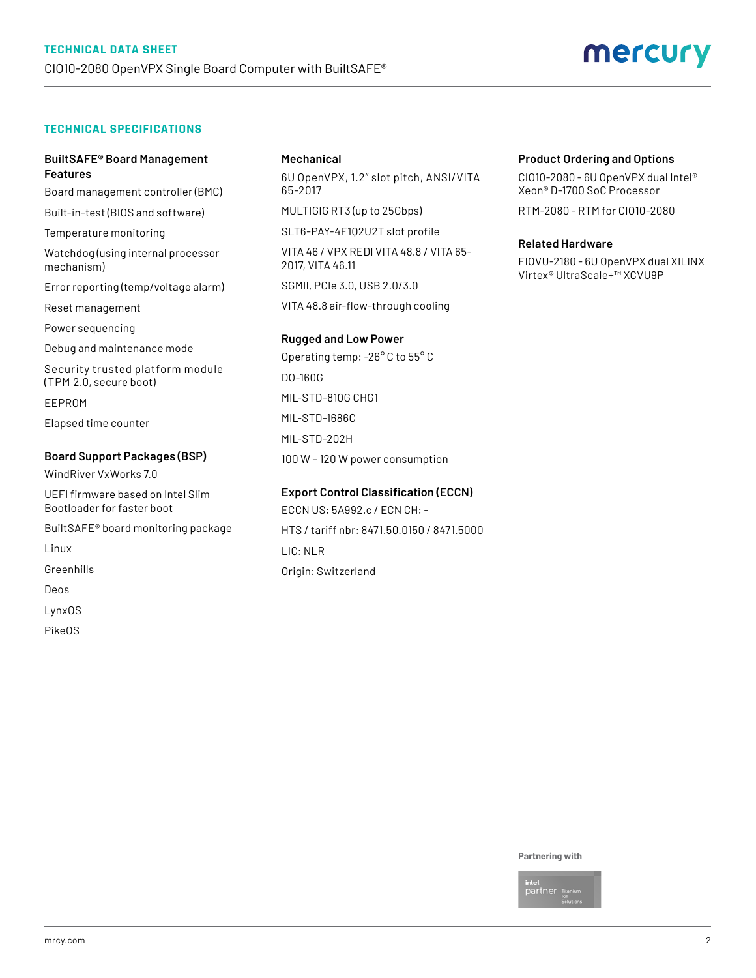#### **TECHNICAL SPECIFICATIONS**

#### **BuiltSAFE® Board Management Features**

Board management controller (BMC)

Built-in-test (BIOS and software)

Temperature monitoring

Watchdog (using internal processor mechanism)

Error reporting (temp/voltage alarm)

Reset management

Power sequencing

Debug and maintenance mode

Security trusted platform module (TPM 2.0, secure boot)

EEPROM

Elapsed time counter

#### **Board Support Packages (BSP)**

WindRiver VxWorks 7.0

UEFI firmware based on Intel Slim Bootloader for faster boot

BuiltSAFE® board monitoring package

Linux

Greenhills

Deos

LynxOS

PikeOS

#### **Mechanical**

6U OpenVPX, 1.2" slot pitch, ANSI/VITA 65-2017

MULTIGIG RT3 (up to 25Gbps)

SLT6-PAY-4F1Q2U2T slot profile

VITA 46 / VPX REDI VITA 48.8 / VITA 65- 2017, VITA 46.11

SGMII, PCIe 3.0, USB 2.0/3.0

VITA 48.8 air-flow-through cooling

#### **Rugged and Low Power**

Operating temp: -26° C to 55° C DO-160G MIL-STD-810G CHG1 MIL-STD-1686C MIL-STD-202H 100 W – 120 W power consumption

### **Export Control Classification (ECCN)** ECCN US: 5A992.c / ECN CH: -

HTS / tariff nbr: 8471.50.0150 / 8471.5000 LIC: NLR Origin: Switzerland

#### **Product Ordering and Options**

CIO10-2080 - 6U OpenVPX dual Intel® Xeon® D-1700 SoC Processor

RTM-2080 - RTM for CIO10-2080

#### **Related Hardware**

FIOVU-2180 - 6U OpenVPX dual XILINX Virtex® UltraScale+™ XCVU9P

#### **Partnering with**

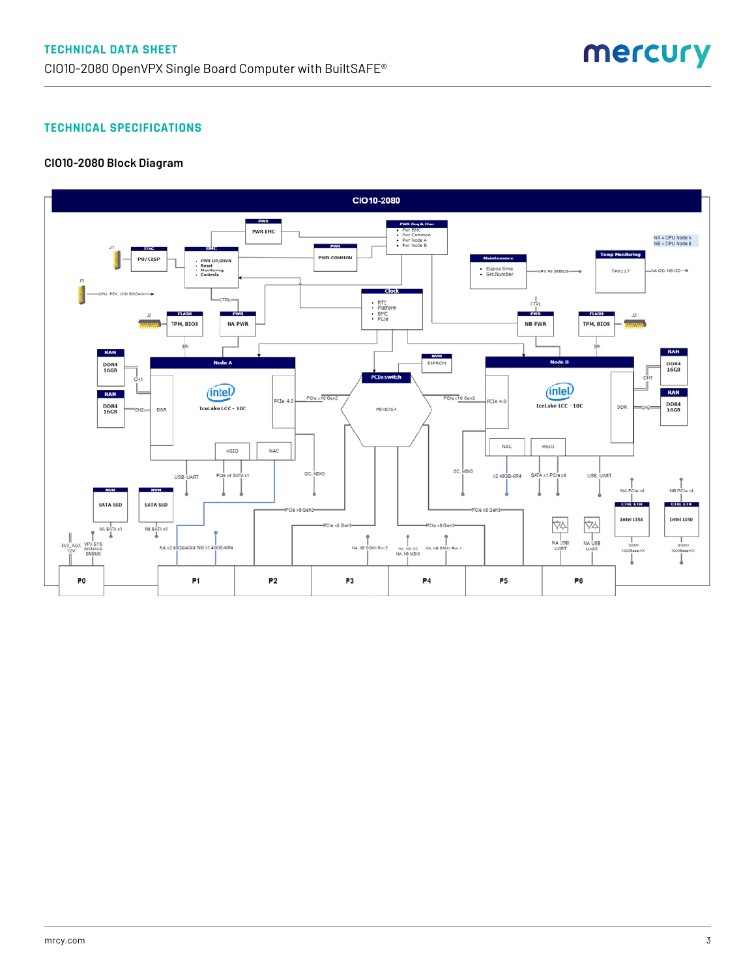#### **TECHNICAL SPECIFICATIONS**

#### **CIO10-2080 Block Diagram**